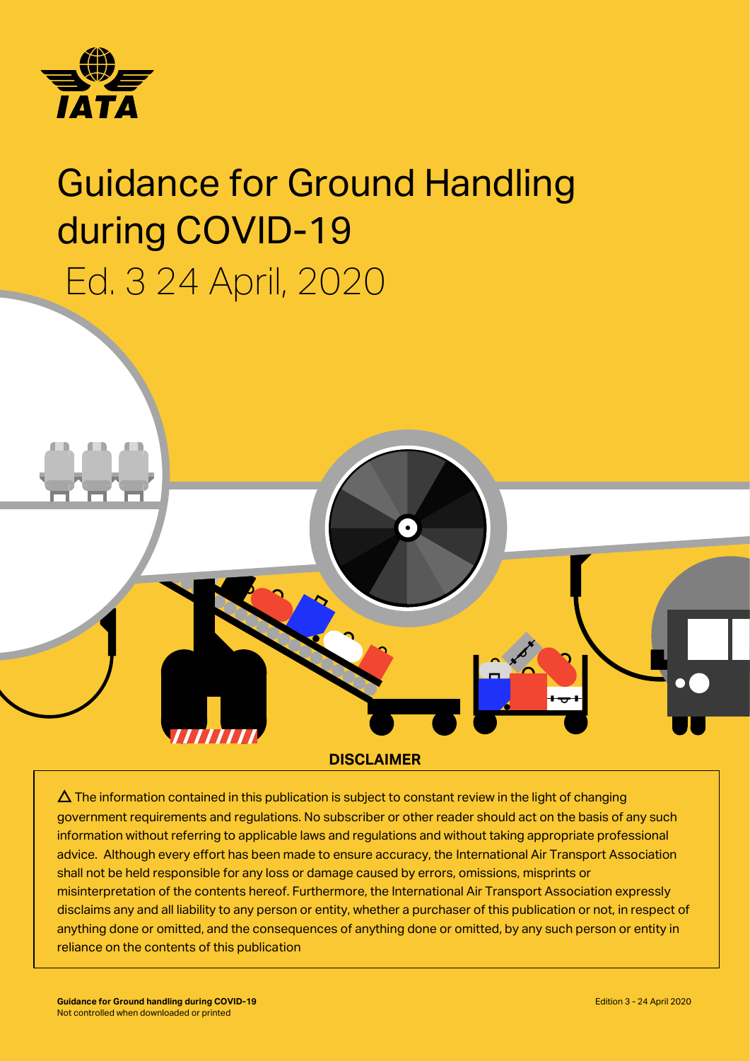

# Guidance for Ground Handling during COVID-19 Ed. 3 24 April, 2020



 $\Delta$  The information contained in this publication is subject to constant review in the light of changing government requirements and regulations. No subscriber or other reader should act on the basis of any such information without referring to applicable laws and regulations and without taking appropriate professional advice. Although every effort has been made to ensure accuracy, the International Air Transport Association shall not be held responsible for any loss or damage caused by errors, omissions, misprints or misinterpretation of the contents hereof. Furthermore, the International Air Transport Association expressly disclaims any and all liability to any person or entity, whether a purchaser of this publication or not, in respect of anything done or omitted, and the consequences of anything done or omitted, by any such person or entity in reliance on the contents of this publication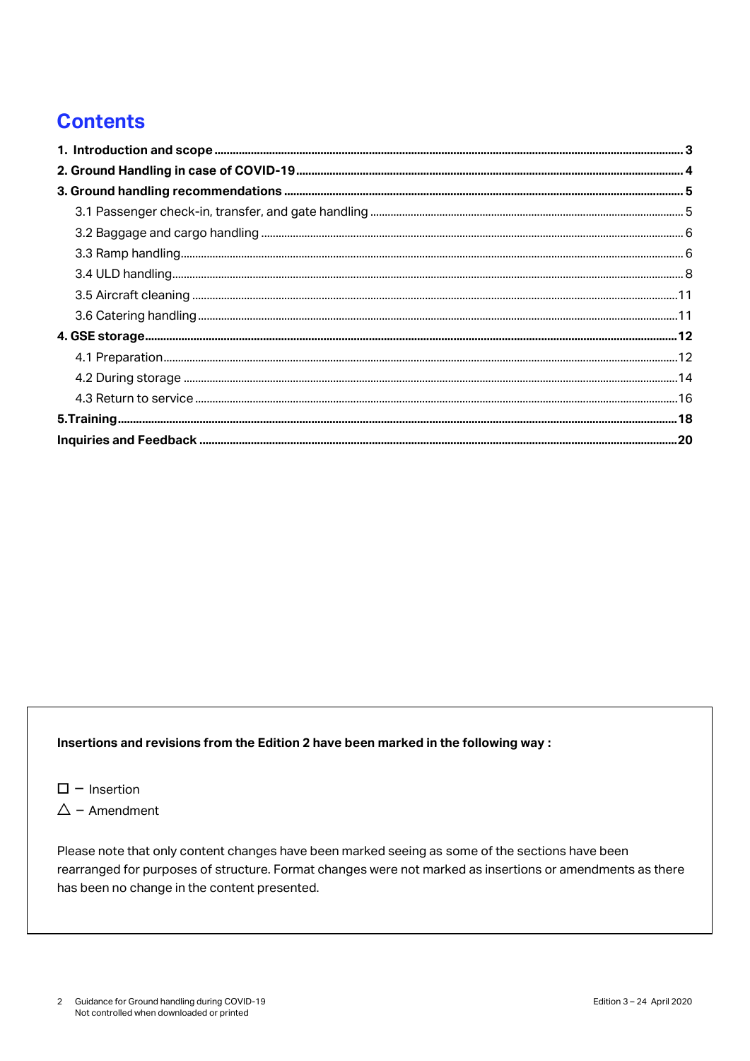### **Contents**

#### Insertions and revisions from the Edition 2 have been marked in the following way :

 $\Box$  - Insertion

 $\Delta$  - Amendment

Please note that only content changes have been marked seeing as some of the sections have been rearranged for purposes of structure. Format changes were not marked as insertions or amendments as there has been no change in the content presented.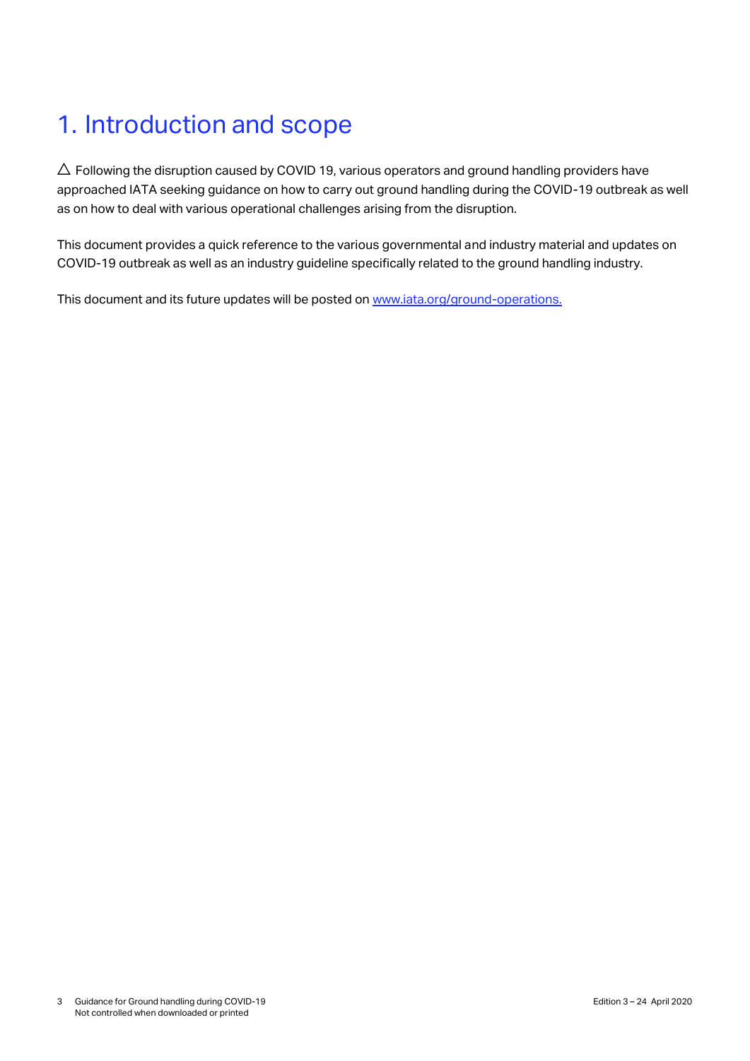# <span id="page-2-0"></span>1. Introduction and scope

 $\Delta$  Following the disruption caused by COVID 19, various operators and ground handling providers have approached IATA seeking guidance on how to carry out ground handling during the COVID-19 outbreak as well as on how to deal with various operational challenges arising from the disruption.

This document provides a quick reference to the various governmental and industry material and updates on COVID-19 outbreak as well as an industry guideline specifically related to the ground handling industry.

This document and its future updates will be posted on [www.iata.org/ground-operations.](http://www.iata.org/ground-operations)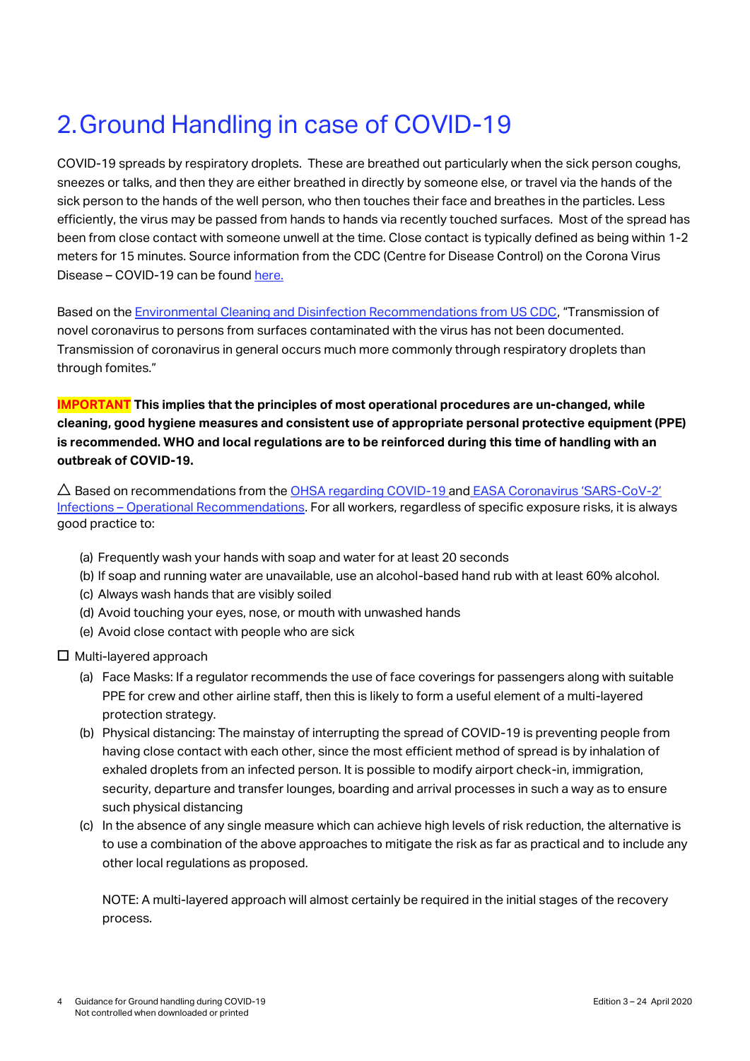# <span id="page-3-0"></span>2.Ground Handling in case of COVID-19

COVID-19 spreads by respiratory droplets. These are breathed out particularly when the sick person coughs, sneezes or talks, and then they are either breathed in directly by someone else, or travel via the hands of the sick person to the hands of the well person, who then touches their face and breathes in the particles. Less efficiently, the virus may be passed from hands to hands via recently touched surfaces. Most of the spread has been from close contact with someone unwell at the time. Close contact is typically defined as being within 1-2 meters for 15 minutes. Source information from the CDC (Centre for Disease Control) on the Corona Virus Disease – COVID-19 can be found [here.](https://www.cdc.gov/coronavirus/2019-ncov/about/index.html)

Based on the [Environmental Cleaning and Disinfection Recommendations from US CDC](https://www.cdc.gov/coronavirus/2019-ncov/community/organizations/cleaning-disinfection.html), "Transmission of novel coronavirus to persons from surfaces contaminated with the virus has not been documented. Transmission of coronavirus in general occurs much more commonly through respiratory droplets than through fomites."

**IMPORTANT This implies that the principles of most operational procedures are un-changed, while cleaning, good hygiene measures and consistent use of appropriate personal protective equipment (PPE) is recommended. WHO and local regulations are to be reinforced during this time of handling with an outbreak of COVID-19.** 

 $\triangle$  Based on recommendations from the [OHSA regarding COVID-19](https://www.osha.gov/SLTC/covid-19/controlprevention.html) and [EASA Coronavirus 'SARS](https://www.google.com/url?sa=t&rct=j&q=&esrc=s&source=web&cd=1&ved=2ahUKEwjn7PqpxPnoAhWRaM0KHW4RBB4QFjAAegQIARAB&url=https%3A%2F%2Fad.easa.europa.eu%2Fblob%2FEASA_SIB_2020_02_R4.pdf%2FSIB_2020-02R4_1&usg=AOvVaw2QhBeies0Y_wQTsLqg59gY)-CoV-2' Infections – [Operational Recommendations.](https://www.google.com/url?sa=t&rct=j&q=&esrc=s&source=web&cd=1&ved=2ahUKEwjn7PqpxPnoAhWRaM0KHW4RBB4QFjAAegQIARAB&url=https%3A%2F%2Fad.easa.europa.eu%2Fblob%2FEASA_SIB_2020_02_R4.pdf%2FSIB_2020-02R4_1&usg=AOvVaw2QhBeies0Y_wQTsLqg59gY) For all workers, regardless of specific exposure risks, it is always good practice to:

- (a) Frequently wash your hands with soap and water for at least 20 seconds
- (b) If soap and running water are unavailable, use an alcohol-based hand rub with at least 60% alcohol.
- (c) Always wash hands that are visibly soiled
- (d) Avoid touching your eyes, nose, or mouth with unwashed hands
- (e) Avoid close contact with people who are sick

 $\square$  Multi-layered approach

- (a) Face Masks: If a regulator recommends the use of face coverings for passengers along with suitable PPE for crew and other airline staff, then this is likely to form a useful element of a multi-layered protection strategy.
- (b) Physical distancing: The mainstay of interrupting the spread of COVID-19 is preventing people from having close contact with each other, since the most efficient method of spread is by inhalation of exhaled droplets from an infected person. It is possible to modify airport check-in, immigration, security, departure and transfer lounges, boarding and arrival processes in such a way as to ensure such physical distancing
- (c) In the absence of any single measure which can achieve high levels of risk reduction, the alternative is to use a combination of the above approaches to mitigate the risk as far as practical and to include any other local regulations as proposed.

NOTE: A multi-layered approach will almost certainly be required in the initial stages of the recovery process.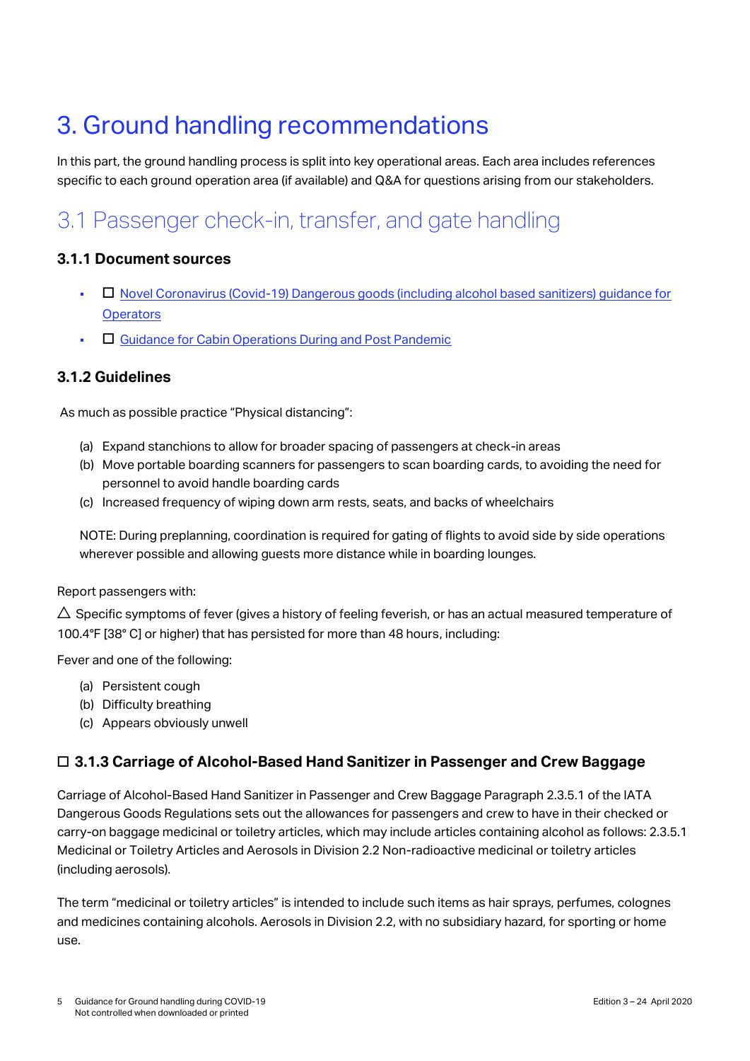# <span id="page-4-0"></span>3. Ground handling recommendations

In this part, the ground handling process is split into key operational areas. Each area includes references specific to each ground operation area (if available) and Q&A for questions arising from our stakeholders.

# <span id="page-4-1"></span>3.1 Passenger check-in, transfer, and gate handling

#### **3.1.1 Document sources**

- □ Novel Coronavirus (Covid-19) Dangerous goods (including alcohol based sanitizers) guidance for **[Operators](https://www.iata.org/contentassets/90f8038b0eea42069554b2f4530f49ea/covid-19-dangerous-goods-guidance.pdf)**
- □ Guidance [for Cabin Operations During and Post Pandemic](https://www.iata.org/contentassets/df216feeb8bb4d52a3e16befe9671033/iata-guidance-cabin-operations-during-post-pandemic.pdf)

#### **3.1.2 Guidelines**

As much as possible practice "Physical distancing":

- (a) Expand stanchions to allow for broader spacing of passengers at check-in areas
- (b) Move portable boarding scanners for passengers to scan boarding cards, to avoiding the need for personnel to avoid handle boarding cards
- (c) Increased frequency of wiping down arm rests, seats, and backs of wheelchairs

NOTE: During preplanning, coordination is required for gating of flights to avoid side by side operations wherever possible and allowing guests more distance while in boarding lounges.

Report passengers with:

 $\Delta$  Specific symptoms of fever (gives a history of feeling feverish, or has an actual measured temperature of 100.4°F [38° C] or higher) that has persisted for more than 48 hours, including:

Fever and one of the following:

- (a) Persistent cough
- (b) Difficulty breathing
- (c) Appears obviously unwell

#### □ **3.1.3 Carriage of Alcohol-Based Hand Sanitizer in Passenger and Crew Baggage**

Carriage of Alcohol-Based Hand Sanitizer in Passenger and Crew Baggage Paragraph 2.3.5.1 of the IATA Dangerous Goods Regulations sets out the allowances for passengers and crew to have in their checked or carry-on baggage medicinal or toiletry articles, which may include articles containing alcohol as follows: 2.3.5.1 Medicinal or Toiletry Articles and Aerosols in Division 2.2 Non-radioactive medicinal or toiletry articles (including aerosols).

The term "medicinal or toiletry articles" is intended to include such items as hair sprays, perfumes, colognes and medicines containing alcohols. Aerosols in Division 2.2, with no subsidiary hazard, for sporting or home use.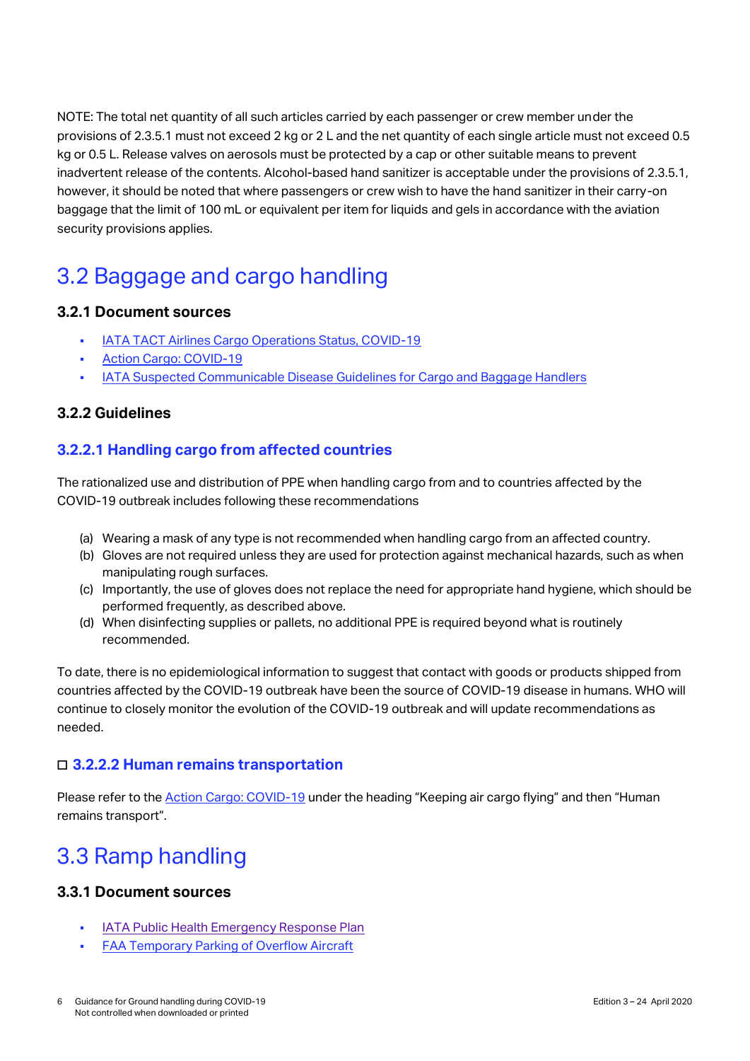NOTE: The total net quantity of all such articles carried by each passenger or crew member under the provisions of 2.3.5.1 must not exceed 2 kg or 2 L and the net quantity of each single article must not exceed 0.5 kg or 0.5 L. Release valves on aerosols must be protected by a cap or other suitable means to prevent inadvertent release of the contents. Alcohol-based hand sanitizer is acceptable under the provisions of 2.3.5.1, however, it should be noted that where passengers or crew wish to have the hand sanitizer in their carry-on baggage that the limit of 100 mL or equivalent per item for liquids and gels in accordance with the aviation security provisions applies.

# <span id="page-5-0"></span>3.2 Baggage and cargo handling

#### **3.2.1 Document sources**

- **[IATA TACT Airlines Cargo Operations Status, COVID-19](https://www.tact-online.org/covid-19)**
- [Action Cargo: COVID-19](https://www.iata.org/en/programs/cargo/)
- [IATA Suspected Communicable Disease Guidelines for Cargo and Baggage Handlers](https://www.iata.org/contentassets/f1163430bba94512a583eb6d6b24aa56/guidelines-cargo-baggage.pdf)

#### **3.2.2 Guidelines**

#### **3.2.2.1 Handling cargo from affected countries**

The rationalized use and distribution of PPE when handling cargo from and to countries affected by the COVID-19 outbreak includes following these recommendations

- (a) Wearing a mask of any type is not recommended when handling cargo from an affected country.
- (b) Gloves are not required unless they are used for protection against mechanical hazards, such as when manipulating rough surfaces.
- (c) Importantly, the use of gloves does not replace the need for appropriate hand hygiene, which should be performed frequently, as described above.
- (d) When disinfecting supplies or pallets, no additional PPE is required beyond what is routinely recommended.

To date, there is no epidemiological information to suggest that contact with goods or products shipped from countries affected by the COVID-19 outbreak have been the source of COVID-19 disease in humans. WHO will continue to closely monitor the evolution of the COVID-19 outbreak and will update recommendations as needed.

#### □ **3.2.2.2 Human remains transportation**

Please refer to the [Action Cargo: COVID-19](http://www.iata.org/cargo) under the heading "Keeping air cargo flying" and then "Human remains transport".

### <span id="page-5-1"></span>3.3 Ramp handling

#### **3.3.1 Document sources**

- **IATA Public Health [Emergency Response Plan](https://www.iata.org/contentassets/f1163430bba94512a583eb6d6b24aa56/airlines-erp-checklist.pdf)**
- **FAA Temporary Parking of Overflow Aircraft**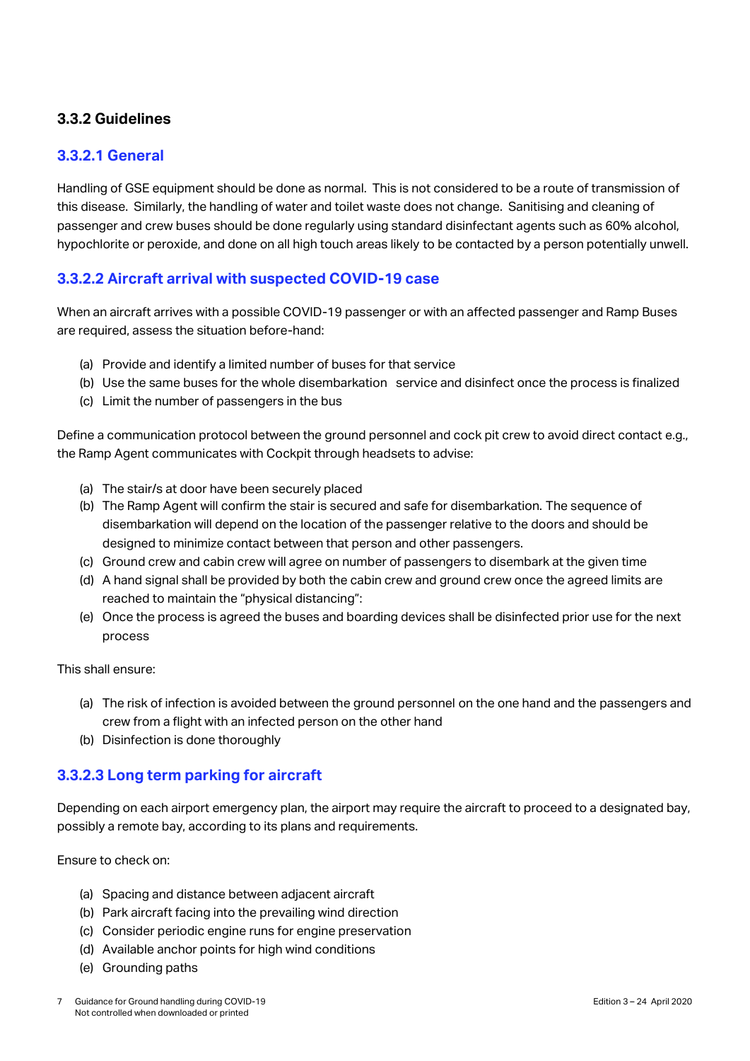#### **3.3.2 Guidelines**

#### **3.3.2.1 General**

Handling of GSE equipment should be done as normal. This is not considered to be a route of transmission of this disease. Similarly, the handling of water and toilet waste does not change. Sanitising and cleaning of passenger and crew buses should be done regularly using standard disinfectant agents such as 60% alcohol, hypochlorite or peroxide, and done on all high touch areas likely to be contacted by a person potentially unwell.

#### **3.3.2.2 Aircraft arrival with suspected COVID-19 case**

When an aircraft arrives with a possible COVID-19 passenger or with an affected passenger and Ramp Buses are required, assess the situation before-hand:

- (a) Provide and identify a limited number of buses for that service
- (b) Use the same buses for the whole disembarkation service and disinfect once the process is finalized
- (c) Limit the number of passengers in the bus

Define a communication protocol between the ground personnel and cock pit crew to avoid direct contact e.g., the Ramp Agent communicates with Cockpit through headsets to advise:

- (a) The stair/s at door have been securely placed
- (b) The Ramp Agent will confirm the stair is secured and safe for disembarkation. The sequence of disembarkation will depend on the location of the passenger relative to the doors and should be designed to minimize contact between that person and other passengers.
- (c) Ground crew and cabin crew will agree on number of passengers to disembark at the given time
- (d) A hand signal shall be provided by both the cabin crew and ground crew once the agreed limits are reached to maintain the "physical distancing":
- (e) Once the process is agreed the buses and boarding devices shall be disinfected prior use for the next process

This shall ensure:

- (a) The risk of infection is avoided between the ground personnel on the one hand and the passengers and crew from a flight with an infected person on the other hand
- (b) Disinfection is done thoroughly

#### **3.3.2.3 Long term parking for aircraft**

Depending on each airport emergency plan, the airport may require the aircraft to proceed to a designated bay, possibly a remote bay, according to its plans and requirements.

Ensure to check on:

- (a) Spacing and distance between adjacent aircraft
- (b) Park aircraft facing into the prevailing wind direction
- (c) Consider periodic engine runs for engine preservation
- (d) Available anchor points for high wind conditions
- (e) Grounding paths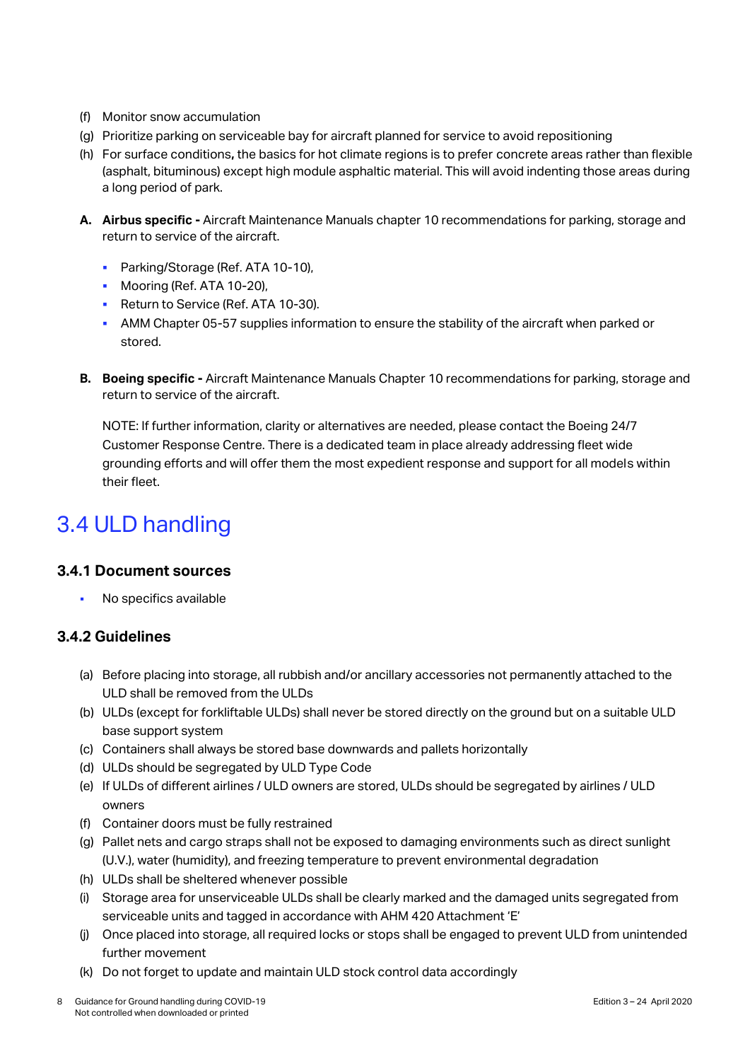- (f) Monitor snow accumulation
- (g) Prioritize parking on serviceable bay for aircraft planned for service to avoid repositioning
- (h) For surface conditions**,** the basics for hot climate regions is to prefer concrete areas rather than flexible (asphalt, bituminous) except high module asphaltic material. This will avoid indenting those areas during a long period of park.
- **A. Airbus specific -** Aircraft Maintenance Manuals chapter 10 recommendations for parking, storage and return to service of the aircraft.
	- **•** Parking/Storage (Ref. ATA 10-10),
	- **•** Mooring (Ref. ATA 10-20),
	- Return to Service (Ref. ATA 10-30).
	- **AMM Chapter 05-57 supplies information to ensure the stability of the aircraft when parked or** stored.
- **B. Boeing specific -** Aircraft Maintenance Manuals Chapter 10 recommendations for parking, storage and return to service of the aircraft.

NOTE: If further information, clarity or alternatives are needed, please contact the Boeing 24/7 Customer Response Centre. There is a dedicated team in place already addressing fleet wide grounding efforts and will offer them the most expedient response and support for all models within their fleet.

### <span id="page-7-0"></span>3.4 ULD handling

#### **3.4.1 Document sources**

No specifics available

#### **3.4.2 Guidelines**

- (a) Before placing into storage, all rubbish and/or ancillary accessories not permanently attached to the ULD shall be removed from the ULDs
- (b) ULDs (except for forkliftable ULDs) shall never be stored directly on the ground but on a suitable ULD base support system
- (c) Containers shall always be stored base downwards and pallets horizontally
- (d) ULDs should be segregated by ULD Type Code
- (e) If ULDs of different airlines / ULD owners are stored, ULDs should be segregated by airlines / ULD owners
- (f) Container doors must be fully restrained
- (g) Pallet nets and cargo straps shall not be exposed to damaging environments such as direct sunlight (U.V.), water (humidity), and freezing temperature to prevent environmental degradation
- (h) ULDs shall be sheltered whenever possible
- (i) Storage area for unserviceable ULDs shall be clearly marked and the damaged units segregated from serviceable units and tagged in accordance with AHM 420 Attachment 'E'
- (j) Once placed into storage, all required locks or stops shall be engaged to prevent ULD from unintended further movement
- (k) Do not forget to update and maintain ULD stock control data accordingly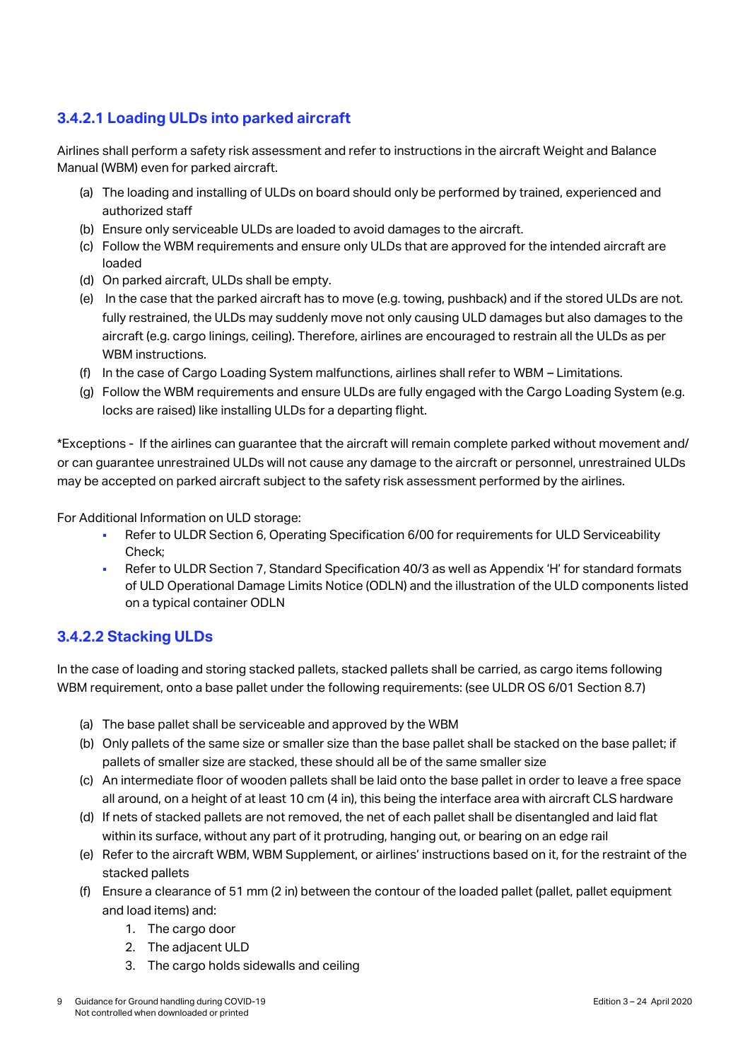#### **3.4.2.1 Loading ULDs into parked aircraft**

Airlines shall perform a safety risk assessment and refer to instructions in the aircraft Weight and Balance Manual (WBM) even for parked aircraft.

- (a) The loading and installing of ULDs on board should only be performed by trained, experienced and authorized staff
- (b) Ensure only serviceable ULDs are loaded to avoid damages to the aircraft.
- (c) Follow the WBM requirements and ensure only ULDs that are approved for the intended aircraft are loaded
- (d) On parked aircraft, ULDs shall be empty.
- (e) In the case that the parked aircraft has to move (e.g. towing, pushback) and if the stored ULDs are not. fully restrained, the ULDs may suddenly move not only causing ULD damages but also damages to the aircraft (e.g. cargo linings, ceiling). Therefore, airlines are encouraged to restrain all the ULDs as per WBM instructions.
- (f) In the case of Cargo Loading System malfunctions, airlines shall refer to WBM Limitations.
- (g) Follow the WBM requirements and ensure ULDs are fully engaged with the Cargo Loading System (e.g. locks are raised) like installing ULDs for a departing flight.

\*Exceptions - If the airlines can guarantee that the aircraft will remain complete parked without movement and/ or can guarantee unrestrained ULDs will not cause any damage to the aircraft or personnel, unrestrained ULDs may be accepted on parked aircraft subject to the safety risk assessment performed by the airlines.

For Additional Information on ULD storage:

- **Refer to ULDR Section 6, Operating Specification 6/00 for requirements for ULD Serviceability** Check;
- Refer to ULDR Section 7, Standard Specification 40/3 as well as Appendix 'H' for standard formats of ULD Operational Damage Limits Notice (ODLN) and the illustration of the ULD components listed on a typical container ODLN

#### **3.4.2.2 Stacking ULDs**

In the case of loading and storing stacked pallets, stacked pallets shall be carried, as cargo items following WBM requirement, onto a base pallet under the following requirements: (see ULDR OS 6/01 Section 8.7)

- (a) The base pallet shall be serviceable and approved by the WBM
- (b) Only pallets of the same size or smaller size than the base pallet shall be stacked on the base pallet; if pallets of smaller size are stacked, these should all be of the same smaller size
- (c) An intermediate floor of wooden pallets shall be laid onto the base pallet in order to leave a free space all around, on a height of at least 10 cm (4 in), this being the interface area with aircraft CLS hardware
- (d) If nets of stacked pallets are not removed, the net of each pallet shall be disentangled and laid flat within its surface, without any part of it protruding, hanging out, or bearing on an edge rail
- (e) Refer to the aircraft WBM, WBM Supplement, or airlines' instructions based on it, for the restraint of the stacked pallets
- (f) Ensure a clearance of 51 mm (2 in) between the contour of the loaded pallet (pallet, pallet equipment and load items) and:
	- 1. The cargo door
	- 2. The adjacent ULD
	- 3. The cargo holds sidewalls and ceiling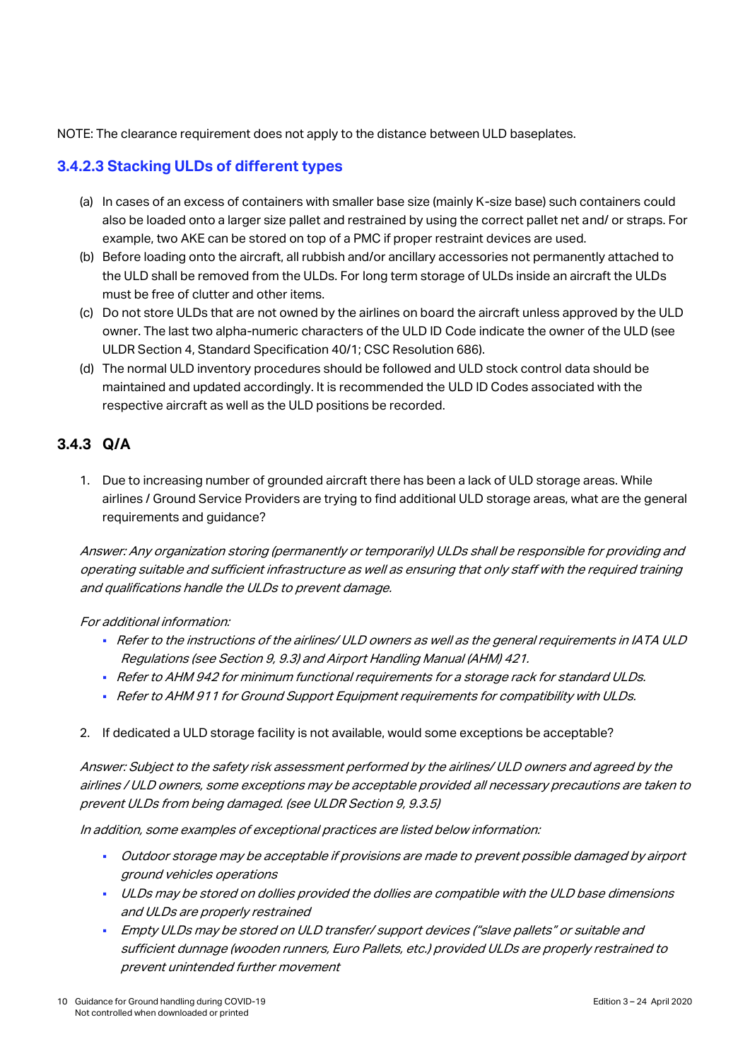NOTE: The clearance requirement does not apply to the distance between ULD baseplates.

#### **3.4.2.3 Stacking ULDs of different types**

- (a) In cases of an excess of containers with smaller base size (mainly K-size base) such containers could also be loaded onto a larger size pallet and restrained by using the correct pallet net and/ or straps. For example, two AKE can be stored on top of a PMC if proper restraint devices are used.
- (b) Before loading onto the aircraft, all rubbish and/or ancillary accessories not permanently attached to the ULD shall be removed from the ULDs. For long term storage of ULDs inside an aircraft the ULDs must be free of clutter and other items.
- (c) Do not store ULDs that are not owned by the airlines on board the aircraft unless approved by the ULD owner. The last two alpha-numeric characters of the ULD ID Code indicate the owner of the ULD (see ULDR Section 4, Standard Specification 40/1; CSC Resolution 686).
- (d) The normal ULD inventory procedures should be followed and ULD stock control data should be maintained and updated accordingly. It is recommended the ULD ID Codes associated with the respective aircraft as well as the ULD positions be recorded.

#### **3.4.3 Q/A**

1. Due to increasing number of grounded aircraft there has been a lack of ULD storage areas. While airlines / Ground Service Providers are trying to find additional ULD storage areas, what are the general requirements and guidance?

Answer: Any organization storing (permanently or temporarily) ULDs shall be responsible for providing and operating suitable and sufficient infrastructure as well as ensuring that only staff with the required training and qualifications handle the ULDs to prevent damage.

#### For additional information:

- Refer to the instructions of the airlines/ ULD owners as well as the general requirements in IATA ULD Regulations (see Section 9, 9.3) and Airport Handling Manual (AHM) 421.
- Refer to AHM 942 for minimum functional requirements for a storage rack for standard ULDs.
- Refer to AHM 911 for Ground Support Equipment requirements for compatibility with ULDs.

#### 2. If dedicated a ULD storage facility is not available, would some exceptions be acceptable?

Answer: Subject to the safety risk assessment performed by the airlines/ ULD owners and agreed by the airlines / ULD owners, some exceptions may be acceptable provided all necessary precautions are taken to prevent ULDs from being damaged. (see ULDR Section 9, 9.3.5)

In addition, some examples of exceptional practices are listed below information:

- Outdoor storage may be acceptable if provisions are made to prevent possible damaged by airport ground vehicles operations
- ULDs may be stored on dollies provided the dollies are compatible with the ULD base dimensions and ULDs are properly restrained
- Empty ULDs may be stored on ULD transfer/ support devices ("slave pallets" or suitable and sufficient dunnage (wooden runners, Euro Pallets, etc.) provided ULDs are properly restrained to prevent unintended further movement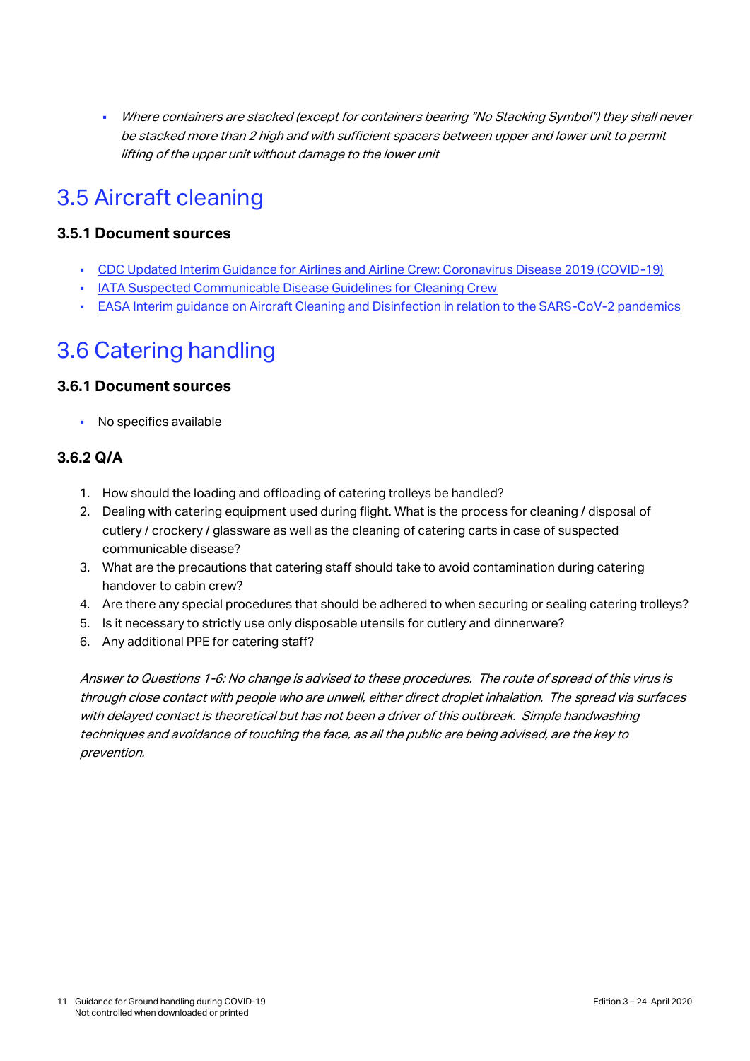▪ Where containers are stacked (except for containers bearing "No Stacking Symbol") they shall neve<sup>r</sup> be stacked more than 2 high and with sufficient spacers between upper and lower unit to permit lifting of the upper unit without damage to the lower unit

# <span id="page-10-0"></span>3.5 Aircraft cleaning

#### **3.5.1 Document sources**

- [CDC Updated Interim Guidance for Airlines and Airline Crew: Coronavirus Disease 2019 \(COVID-19\)](https://www.cdc.gov/quarantine/air/managing-sick-travelers/ncov-airlines.html)
- **[IATA Suspected Communicable Disease Guidelines for Cleaning Crew](https://www.iata.org/contentassets/f1163430bba94512a583eb6d6b24aa56/health-guidelines-cleaning-crew.pdf)**
- **EASA [Interim guidance on Aircraft Cleaning and Disinfection in relation to the SARS-CoV-2 pandemics](https://www.easa.europa.eu/document-library/general-publications/interim-guidance-aircraft-cleaning-and-disinfection)**

# <span id="page-10-1"></span>3.6 Catering handling

#### **3.6.1 Document sources**

▪ No specifics available

#### **3.6.2 Q/A**

- 1. How should the loading and offloading of catering trolleys be handled?
- 2. Dealing with catering equipment used during flight. What is the process for cleaning / disposal of cutlery / crockery / glassware as well as the cleaning of catering carts in case of suspected communicable disease?
- 3. What are the precautions that catering staff should take to avoid contamination during catering handover to cabin crew?
- 4. Are there any special procedures that should be adhered to when securing or sealing catering trolleys?
- 5. Is it necessary to strictly use only disposable utensils for cutlery and dinnerware?
- 6. Any additional PPE for catering staff?

Answer to Questions 1-6: No change is advised to these procedures. The route of spread of this virus is through close contact with people who are unwell, either direct droplet inhalation. The spread via surfaces with delayed contact is theoretical but has not been a driver of this outbreak. Simple handwashing techniques and avoidance of touching the face, as all the public are being advised, are the key to prevention.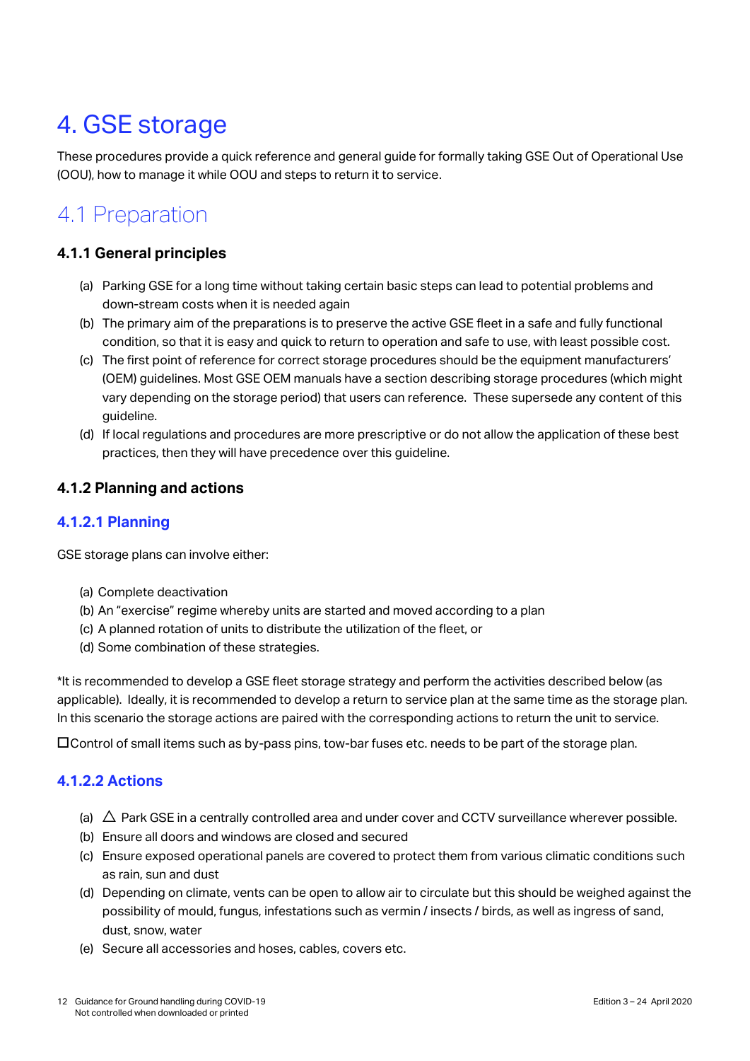# <span id="page-11-0"></span>4. GSE storage

These procedures provide a quick reference and general guide for formally taking GSE Out of Operational Use (OOU), how to manage it while OOU and steps to return it to service.

# <span id="page-11-1"></span>4.1 Preparation

#### **4.1.1 General principles**

- (a) Parking GSE for a long time without taking certain basic steps can lead to potential problems and down-stream costs when it is needed again
- (b) The primary aim of the preparations is to preserve the active GSE fleet in a safe and fully functional condition, so that it is easy and quick to return to operation and safe to use, with least possible cost.
- (c) The first point of reference for correct storage procedures should be the equipment manufacturers' (OEM) guidelines. Most GSE OEM manuals have a section describing storage procedures (which might vary depending on the storage period) that users can reference. These supersede any content of this guideline.
- (d) If local regulations and procedures are more prescriptive or do not allow the application of these best practices, then they will have precedence over this guideline.

#### **4.1.2 Planning and actions**

#### **4.1.2.1 Planning**

GSE storage plans can involve either:

- (a) Complete deactivation
- (b) An "exercise" regime whereby units are started and moved according to a plan
- (c) A planned rotation of units to distribute the utilization of the fleet, or
- (d) Some combination of these strategies.

\*It is recommended to develop a GSE fleet storage strategy and perform the activities described below (as applicable). Ideally, it is recommended to develop a return to service plan at the same time as the storage plan. In this scenario the storage actions are paired with the corresponding actions to return the unit to service.

□Control of small items such as by-pass pins, tow-bar fuses etc. needs to be part of the storage plan.

#### **4.1.2.2 Actions**

- (a)  $\Delta$  Park GSE in a centrally controlled area and under cover and CCTV surveillance wherever possible.
- (b) Ensure all doors and windows are closed and secured
- (c) Ensure exposed operational panels are covered to protect them from various climatic conditions such as rain, sun and dust
- (d) Depending on climate, vents can be open to allow air to circulate but this should be weighed against the possibility of mould, fungus, infestations such as vermin / insects / birds, as well as ingress of sand, dust, snow, water
- (e) Secure all accessories and hoses, cables, covers etc.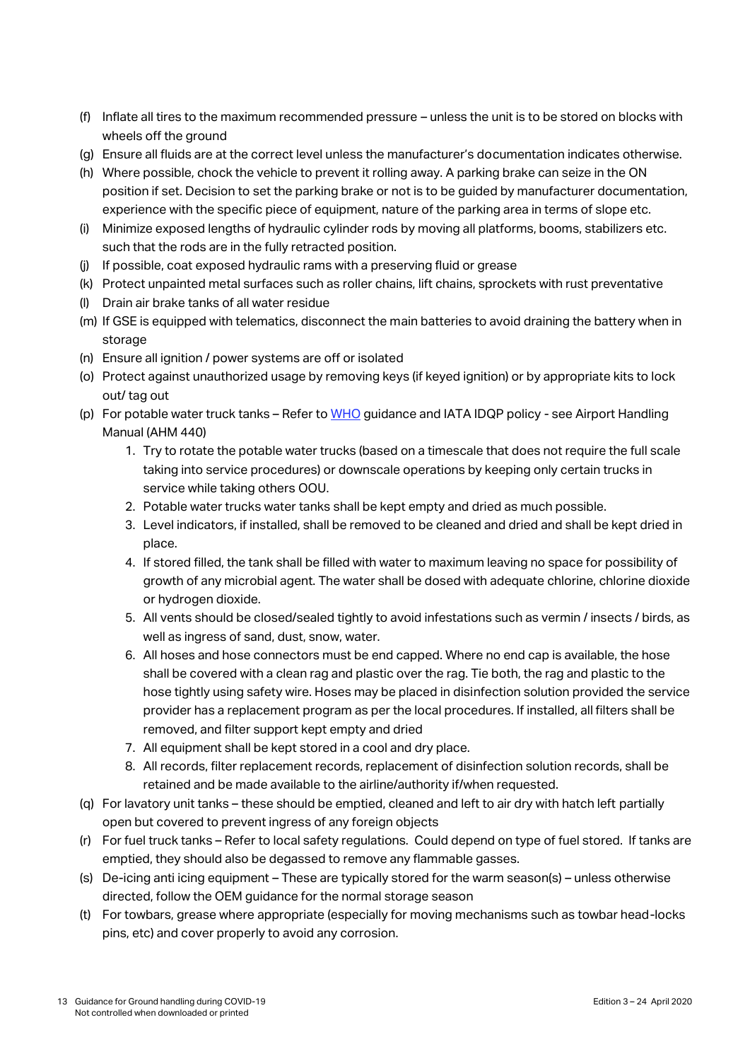- (f) Inflate all tires to the maximum recommended pressure unless the unit is to be stored on blocks with wheels off the ground
- (g) Ensure all fluids are at the correct level unless the manufacturer's documentation indicates otherwise.
- (h) Where possible, chock the vehicle to prevent it rolling away. A parking brake can seize in the ON position if set. Decision to set the parking brake or not is to be guided by manufacturer documentation, experience with the specific piece of equipment, nature of the parking area in terms of slope etc.
- (i) Minimize exposed lengths of hydraulic cylinder rods by moving all platforms, booms, stabilizers etc. such that the rods are in the fully retracted position.
- (j) If possible, coat exposed hydraulic rams with a preserving fluid or grease
- (k) Protect unpainted metal surfaces such as roller chains, lift chains, sprockets with rust preventative
- (l) Drain air brake tanks of all water residue
- (m) If GSE is equipped with telematics, disconnect the main batteries to avoid draining the battery when in storage
- (n) Ensure all ignition / power systems are off or isolated
- (o) Protect against unauthorized usage by removing keys (if keyed ignition) or by appropriate kits to lock out/ tag out
- (p) For potable water truck tanks Refer t[o WHO](https://www.who.int/water_sanitation_health/water-quality/guidelines/en/) guidance and IATA IDQP policy see Airport Handling Manual (AHM 440)
	- 1. Try to rotate the potable water trucks (based on a timescale that does not require the full scale taking into service procedures) or downscale operations by keeping only certain trucks in service while taking others OOU.
	- 2. Potable water trucks water tanks shall be kept empty and dried as much possible.
	- 3. Level indicators, if installed, shall be removed to be cleaned and dried and shall be kept dried in place.
	- 4. If stored filled, the tank shall be filled with water to maximum leaving no space for possibility of growth of any microbial agent. The water shall be dosed with adequate chlorine, chlorine dioxide or hydrogen dioxide.
	- 5. All vents should be closed/sealed tightly to avoid infestations such as vermin / insects / birds, as well as ingress of sand, dust, snow, water.
	- 6. All hoses and hose connectors must be end capped. Where no end cap is available, the hose shall be covered with a clean rag and plastic over the rag. Tie both, the rag and plastic to the hose tightly using safety wire. Hoses may be placed in disinfection solution provided the service provider has a replacement program as per the local procedures. If installed, all filters shall be removed, and filter support kept empty and dried
	- 7. All equipment shall be kept stored in a cool and dry place.
	- 8. All records, filter replacement records, replacement of disinfection solution records, shall be retained and be made available to the airline/authority if/when requested.
- (q) For lavatory unit tanks these should be emptied, cleaned and left to air dry with hatch left partially open but covered to prevent ingress of any foreign objects
- (r) For fuel truck tanks Refer to local safety regulations. Could depend on type of fuel stored. If tanks are emptied, they should also be degassed to remove any flammable gasses.
- (s) De-icing anti icing equipment These are typically stored for the warm season(s) unless otherwise directed, follow the OEM guidance for the normal storage season
- (t) For towbars, grease where appropriate (especially for moving mechanisms such as towbar head-locks pins, etc) and cover properly to avoid any corrosion.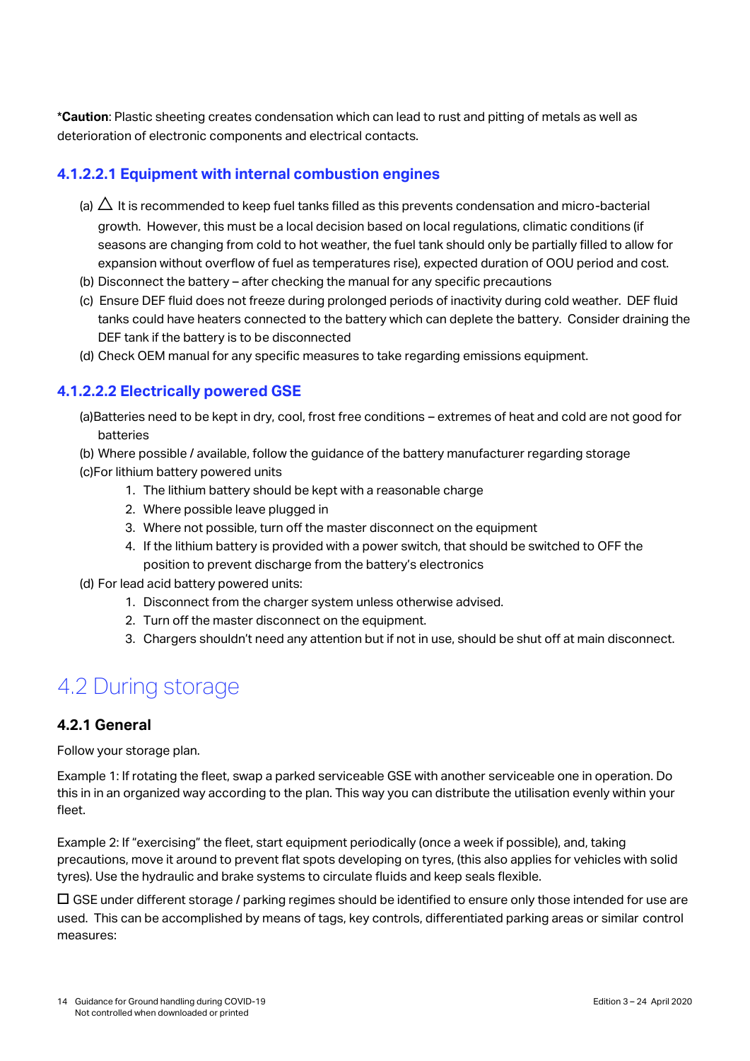\***Caution**: Plastic sheeting creates condensation which can lead to rust and pitting of metals as well as deterioration of electronic components and electrical contacts.

#### **4.1.2.2.1 Equipment with internal combustion engines**

- (a)  $\triangle$  It is recommended to keep fuel tanks filled as this prevents condensation and micro-bacterial growth. However, this must be a local decision based on local regulations, climatic conditions (if seasons are changing from cold to hot weather, the fuel tank should only be partially filled to allow for expansion without overflow of fuel as temperatures rise), expected duration of OOU period and cost.
- (b) Disconnect the battery after checking the manual for any specific precautions
- (c) Ensure DEF fluid does not freeze during prolonged periods of inactivity during cold weather. DEF fluid tanks could have heaters connected to the battery which can deplete the battery. Consider draining the DEF tank if the battery is to be disconnected
- (d) Check OEM manual for any specific measures to take regarding emissions equipment.

#### **4.1.2.2.2 Electrically powered GSE**

- (a)Batteries need to be kept in dry, cool, frost free conditions extremes of heat and cold are not good for batteries
- (b) Where possible / available, follow the guidance of the battery manufacturer regarding storage
- (c)For lithium battery powered units
	- 1. The lithium battery should be kept with a reasonable charge
	- 2. Where possible leave plugged in
	- 3. Where not possible, turn off the master disconnect on the equipment
	- 4. If the lithium battery is provided with a power switch, that should be switched to OFF the position to prevent discharge from the battery's electronics
- (d) For lead acid battery powered units:
	- 1. Disconnect from the charger system unless otherwise advised.
	- 2. Turn off the master disconnect on the equipment.
	- 3. Chargers shouldn't need any attention but if not in use, should be shut off at main disconnect.

### <span id="page-13-0"></span>4.2 During storage

#### **4.2.1 General**

Follow your storage plan.

Example 1: If rotating the fleet, swap a parked serviceable GSE with another serviceable one in operation. Do this in in an organized way according to the plan. This way you can distribute the utilisation evenly within your fleet.

Example 2: If "exercising" the fleet, start equipment periodically (once a week if possible), and, taking precautions, move it around to prevent flat spots developing on tyres, (this also applies for vehicles with solid tyres). Use the hydraulic and brake systems to circulate fluids and keep seals flexible.

 $\square$  GSE under different storage / parking regimes should be identified to ensure only those intended for use are used. This can be accomplished by means of tags, key controls, differentiated parking areas or similar control measures: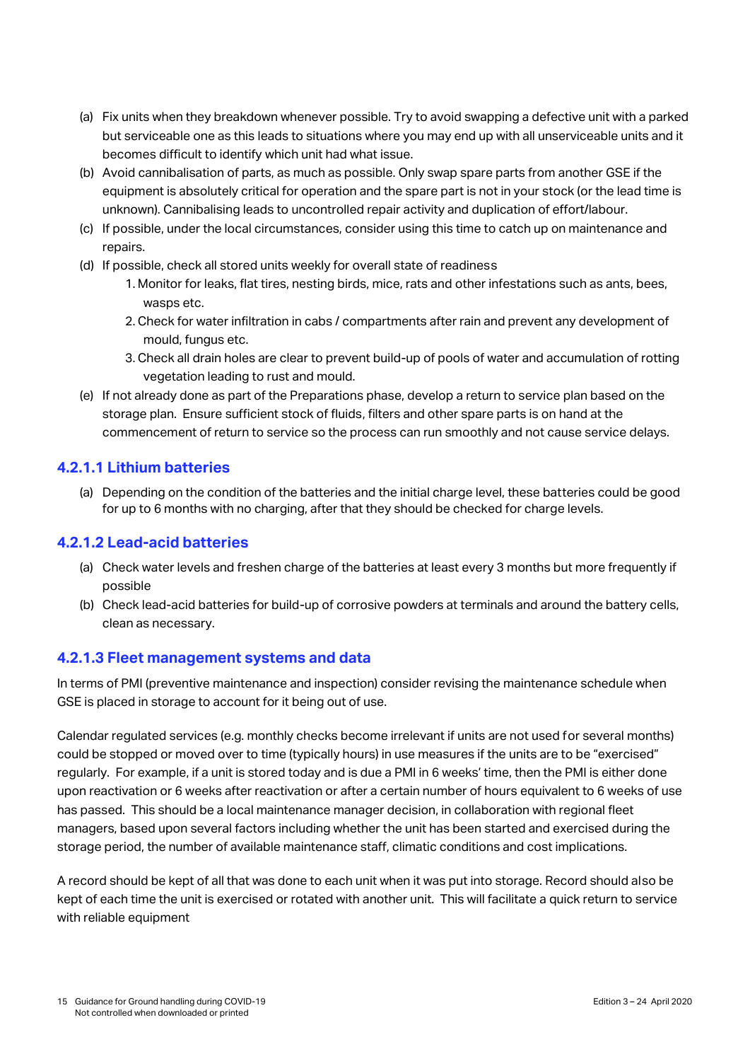- (a) Fix units when they breakdown whenever possible. Try to avoid swapping a defective unit with a parked but serviceable one as this leads to situations where you may end up with all unserviceable units and it becomes difficult to identify which unit had what issue.
- (b) Avoid cannibalisation of parts, as much as possible. Only swap spare parts from another GSE if the equipment is absolutely critical for operation and the spare part is not in your stock (or the lead time is unknown). Cannibalising leads to uncontrolled repair activity and duplication of effort/labour.
- (c) If possible, under the local circumstances, consider using this time to catch up on maintenance and repairs.
- (d) If possible, check all stored units weekly for overall state of readiness
	- 1. Monitor for leaks, flat tires, nesting birds, mice, rats and other infestations such as ants, bees, wasps etc.
	- 2. Check for water infiltration in cabs / compartments after rain and prevent any development of mould, fungus etc.
	- 3. Check all drain holes are clear to prevent build-up of pools of water and accumulation of rotting vegetation leading to rust and mould.
- (e) If not already done as part of the Preparations phase, develop a return to service plan based on the storage plan. Ensure sufficient stock of fluids, filters and other spare parts is on hand at the commencement of return to service so the process can run smoothly and not cause service delays.

#### **4.2.1.1 Lithium batteries**

(a) Depending on the condition of the batteries and the initial charge level, these batteries could be good for up to 6 months with no charging, after that they should be checked for charge levels.

#### **4.2.1.2 Lead-acid batteries**

- (a) Check water levels and freshen charge of the batteries at least every 3 months but more frequently if possible
- (b) Check lead-acid batteries for build-up of corrosive powders at terminals and around the battery cells, clean as necessary.

#### **4.2.1.3 Fleet management systems and data**

In terms of PMI (preventive maintenance and inspection) consider revising the maintenance schedule when GSE is placed in storage to account for it being out of use.

Calendar regulated services (e.g. monthly checks become irrelevant if units are not used for several months) could be stopped or moved over to time (typically hours) in use measures if the units are to be "exercised" regularly. For example, if a unit is stored today and is due a PMI in 6 weeks' time, then the PMI is either done upon reactivation or 6 weeks after reactivation or after a certain number of hours equivalent to 6 weeks of use has passed. This should be a local maintenance manager decision, in collaboration with regional fleet managers, based upon several factors including whether the unit has been started and exercised during the storage period, the number of available maintenance staff, climatic conditions and cost implications.

A record should be kept of all that was done to each unit when it was put into storage. Record should also be kept of each time the unit is exercised or rotated with another unit. This will facilitate a quick return to service with reliable equipment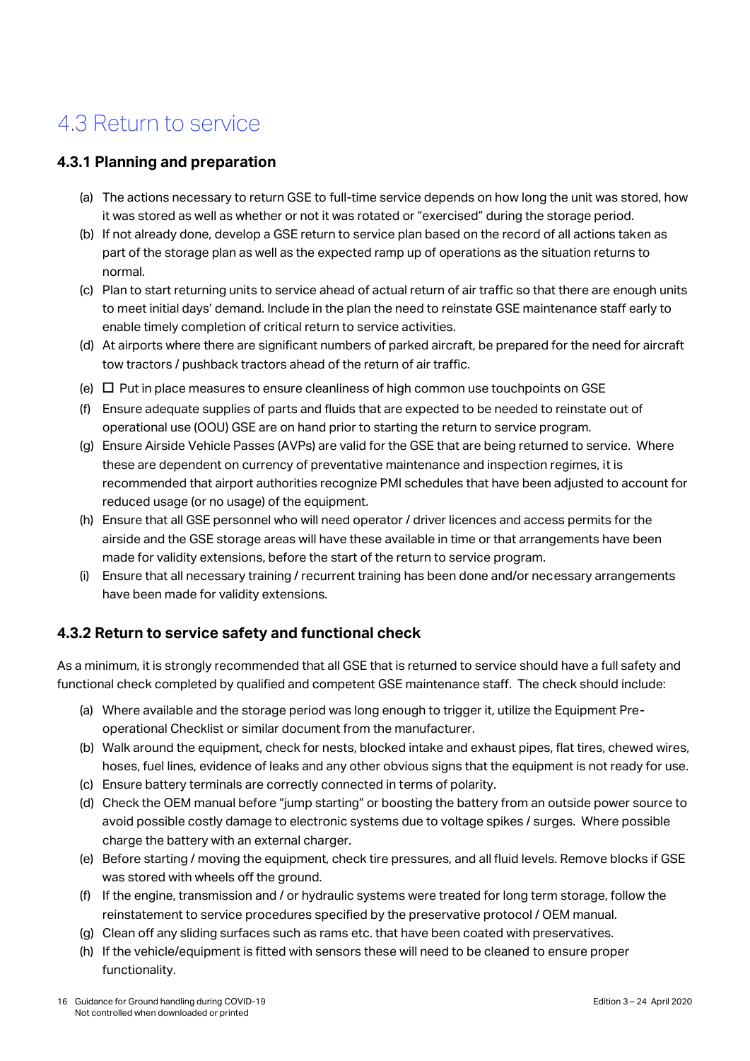# <span id="page-15-0"></span>4.3 Return to service

#### **4.3.1 Planning and preparation**

- (a) The actions necessary to return GSE to full-time service depends on how long the unit was stored, how it was stored as well as whether or not it was rotated or "exercised" during the storage period.
- (b) If not already done, develop a GSE return to service plan based on the record of all actions taken as part of the storage plan as well as the expected ramp up of operations as the situation returns to normal.
- (c) Plan to start returning units to service ahead of actual return of air traffic so that there are enough units to meet initial days' demand. Include in the plan the need to reinstate GSE maintenance staff early to enable timely completion of critical return to service activities.
- (d) At airports where there are significant numbers of parked aircraft, be prepared for the need for aircraft tow tractors / pushback tractors ahead of the return of air traffic.
- (e)  $\square$  Put in place measures to ensure cleanliness of high common use touchpoints on GSE
- (f) Ensure adequate supplies of parts and fluids that are expected to be needed to reinstate out of operational use (OOU) GSE are on hand prior to starting the return to service program.
- (g) Ensure Airside Vehicle Passes (AVPs) are valid for the GSE that are being returned to service. Where these are dependent on currency of preventative maintenance and inspection regimes, it is recommended that airport authorities recognize PMI schedules that have been adjusted to account for reduced usage (or no usage) of the equipment.
- (h) Ensure that all GSE personnel who will need operator / driver licences and access permits for the airside and the GSE storage areas will have these available in time or that arrangements have been made for validity extensions, before the start of the return to service program.
- (i) Ensure that all necessary training / recurrent training has been done and/or necessary arrangements have been made for validity extensions.

#### **4.3.2 Return to service safety and functional check**

As a minimum, it is strongly recommended that all GSE that is returned to service should have a full safety and functional check completed by qualified and competent GSE maintenance staff. The check should include:

- (a) Where available and the storage period was long enough to trigger it, utilize the Equipment Preoperational Checklist or similar document from the manufacturer.
- (b) Walk around the equipment, check for nests, blocked intake and exhaust pipes, flat tires, chewed wires, hoses, fuel lines, evidence of leaks and any other obvious signs that the equipment is not ready for use.
- (c) Ensure battery terminals are correctly connected in terms of polarity.
- (d) Check the OEM manual before "jump starting" or boosting the battery from an outside power source to avoid possible costly damage to electronic systems due to voltage spikes / surges. Where possible charge the battery with an external charger.
- (e) Before starting / moving the equipment, check tire pressures, and all fluid levels. Remove blocks if GSE was stored with wheels off the ground.
- (f) If the engine, transmission and / or hydraulic systems were treated for long term storage, follow the reinstatement to service procedures specified by the preservative protocol / OEM manual.
- (g) Clean off any sliding surfaces such as rams etc. that have been coated with preservatives.
- (h) If the vehicle/equipment is fitted with sensors these will need to be cleaned to ensure proper functionality.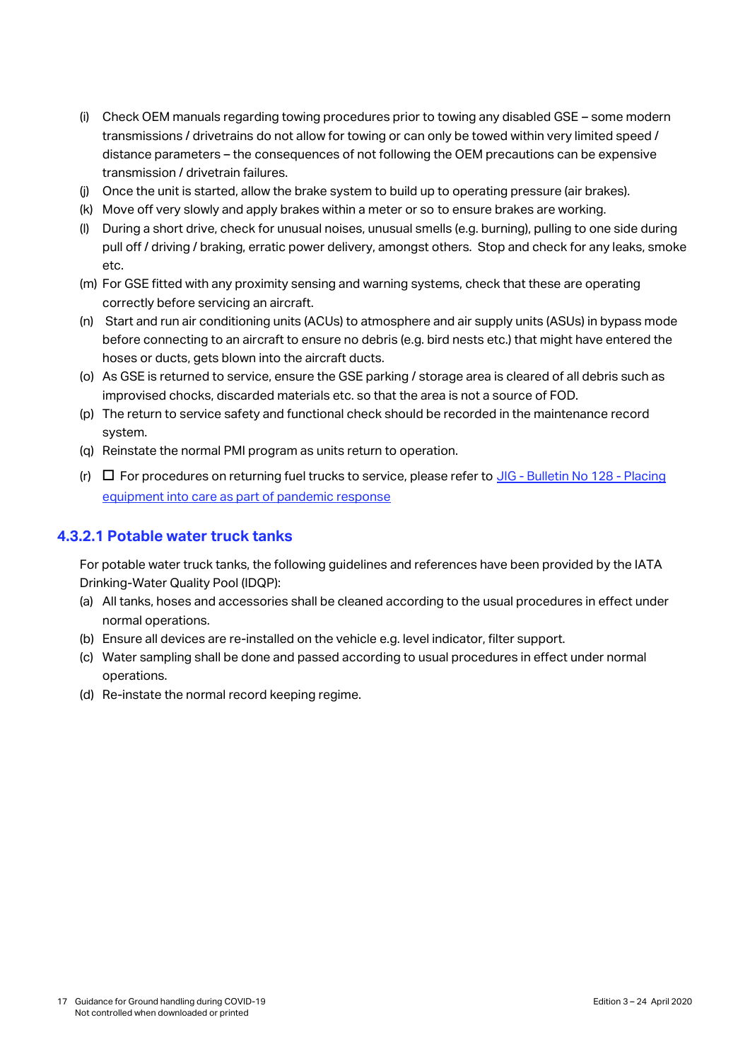- (i) Check OEM manuals regarding towing procedures prior to towing any disabled GSE some modern transmissions / drivetrains do not allow for towing or can only be towed within very limited speed / distance parameters – the consequences of not following the OEM precautions can be expensive transmission / drivetrain failures.
- (j) Once the unit is started, allow the brake system to build up to operating pressure (air brakes).
- (k) Move off very slowly and apply brakes within a meter or so to ensure brakes are working.
- (l) During a short drive, check for unusual noises, unusual smells (e.g. burning), pulling to one side during pull off / driving / braking, erratic power delivery, amongst others. Stop and check for any leaks, smoke etc.
- (m) For GSE fitted with any proximity sensing and warning systems, check that these are operating correctly before servicing an aircraft.
- (n) Start and run air conditioning units (ACUs) to atmosphere and air supply units (ASUs) in bypass mode before connecting to an aircraft to ensure no debris (e.g. bird nests etc.) that might have entered the hoses or ducts, gets blown into the aircraft ducts.
- (o) As GSE is returned to service, ensure the GSE parking / storage area is cleared of all debris such as improvised chocks, discarded materials etc. so that the area is not a source of FOD.
- (p) The return to service safety and functional check should be recorded in the maintenance record system.
- (q) Reinstate the normal PMI program as units return to operation.
- (r)  $\Box$  For procedures on returning fuel trucks to service, please refer to JIG [Bulletin No 128 -](http://www.jigonline.com/wp-content/uploads/2020/03/Bulletin-128-Placing-equipment-into-care-as-part-of-pandemic-response-25Mar201.pdf) Placing [equipment into care as part of pandemic response](http://www.jigonline.com/wp-content/uploads/2020/03/Bulletin-128-Placing-equipment-into-care-as-part-of-pandemic-response-25Mar201.pdf)

#### **4.3.2.1 Potable water truck tanks**

For potable water truck tanks, the following guidelines and references have been provided by the IATA Drinking-Water Quality Pool (IDQP):

- (a) All tanks, hoses and accessories shall be cleaned according to the usual procedures in effect under normal operations.
- (b) Ensure all devices are re-installed on the vehicle e.g. level indicator, filter support.
- (c) Water sampling shall be done and passed according to usual procedures in effect under normal operations.
- (d) Re-instate the normal record keeping regime.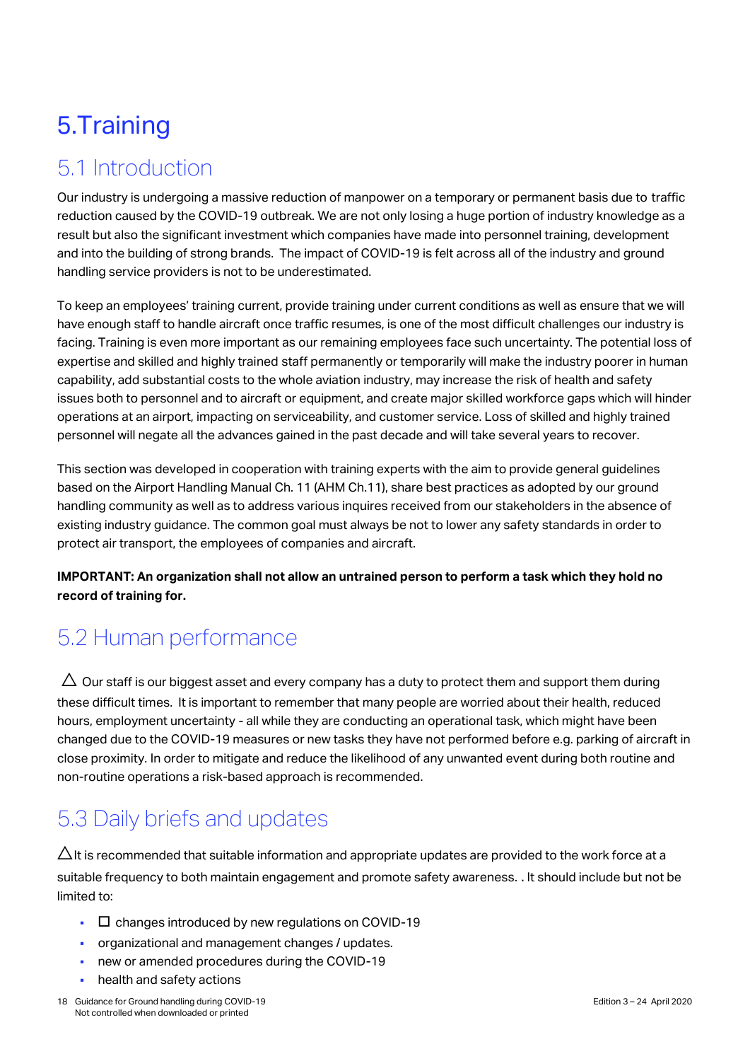# <span id="page-17-0"></span>5.Training

# 5.1 Introduction

Our industry is undergoing a massive reduction of manpower on a temporary or permanent basis due to traffic reduction caused by the COVID-19 outbreak. We are not only losing a huge portion of industry knowledge as a result but also the significant investment which companies have made into personnel training, development and into the building of strong brands. The impact of COVID-19 is felt across all of the industry and ground handling service providers is not to be underestimated.

To keep an employees' training current, provide training under current conditions as well as ensure that we will have enough staff to handle aircraft once traffic resumes, is one of the most difficult challenges our industry is facing. Training is even more important as our remaining employees face such uncertainty. The potential loss of expertise and skilled and highly trained staff permanently or temporarily will make the industry poorer in human capability, add substantial costs to the whole aviation industry, may increase the risk of health and safety issues both to personnel and to aircraft or equipment, and create major skilled workforce gaps which will hinder operations at an airport, impacting on serviceability, and customer service. Loss of skilled and highly trained personnel will negate all the advances gained in the past decade and will take several years to recover.

This section was developed in cooperation with training experts with the aim to provide general guidelines based on the Airport Handling Manual Ch. 11 (AHM Ch.11), share best practices as adopted by our ground handling community as well as to address various inquires received from our stakeholders in the absence of existing industry guidance. The common goal must always be not to lower any safety standards in order to protect air transport, the employees of companies and aircraft.

**IMPORTANT: An organization shall not allow an untrained person to perform a task which they hold no record of training for.**

# 5.2 Human performance

 $\Delta$  Our staff is our biggest asset and every company has a duty to protect them and support them during these difficult times. It is important to remember that many people are worried about their health, reduced hours, employment uncertainty - all while they are conducting an operational task, which might have been changed due to the COVID-19 measures or new tasks they have not performed before e.g. parking of aircraft in close proximity. In order to mitigate and reduce the likelihood of any unwanted event during both routine and non-routine operations a risk-based approach is recommended.

# 5.3 Daily briefs and updates

 $\Delta$ It is recommended that suitable information and appropriate updates are provided to the work force at a suitable frequency to both maintain engagement and promote safety awareness. . It should include but not be limited to:

- $\blacksquare$   $\Box$  changes introduced by new regulations on COVID-19
- organizational and management changes / updates.
- new or amended procedures during the COVID-19
- health and safety actions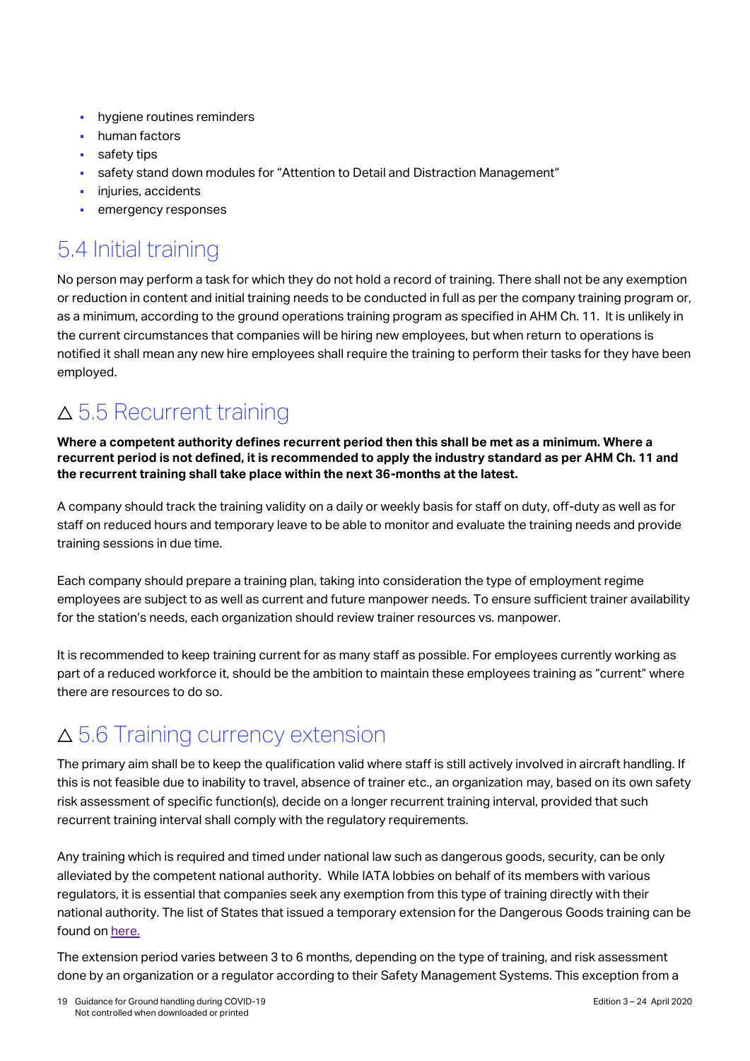- hygiene routines reminders
- human factors
- safety tips
- safety stand down modules for "Attention to Detail and Distraction Management"
- **·** injuries, accidents
- emergency responses

# 5.4 Initial training

No person may perform a task for which they do not hold a record of training. There shall not be any exemption or reduction in content and initial training needs to be conducted in full as per the company training program or, as a minimum, according to the ground operations training program as specified in AHM Ch. 11. It is unlikely in the current circumstances that companies will be hiring new employees, but when return to operations is notified it shall mean any new hire employees shall require the training to perform their tasks for they have been employed.

# $\triangle$  5.5 Recurrent training

**Where a competent authority defines recurrent period then this shall be met as a minimum. Where a recurrent period is not defined, it is recommended to apply the industry standard as per AHM Ch. 11 and the recurrent training shall take place within the next 36-months at the latest.**

A company should track the training validity on a daily or weekly basis for staff on duty, off-duty as well as for staff on reduced hours and temporary leave to be able to monitor and evaluate the training needs and provide training sessions in due time.

Each company should prepare a training plan, taking into consideration the type of employment regime employees are subject to as well as current and future manpower needs. To ensure sufficient trainer availability for the station's needs, each organization should review trainer resources vs. manpower.

It is recommended to keep training current for as many staff as possible. For employees currently working as part of a reduced workforce it, should be the ambition to maintain these employees training as "current" where there are resources to do so.

# △ 5.6 Training currency extension

The primary aim shall be to keep the qualification valid where staff is still actively involved in aircraft handling. If this is not feasible due to inability to travel, absence of trainer etc., an organization may, based on its own safety risk assessment of specific function(s), decide on a longer recurrent training interval, provided that such recurrent training interval shall comply with the regulatory requirements.

Any training which is required and timed under national law such as dangerous goods, security, can be only alleviated by the competent national authority. While IATA lobbies on behalf of its members with various regulators, it is essential that companies seek any exemption from this type of training directly with their national authority. The list of States that issued a temporary extension for the Dangerous Goods training can be found on [here.](https://www.iata.org/contentassets/84016eecba994dc187859a5d128ed2a4/dg-training-exemption.pdf)

The extension period varies between 3 to 6 months, depending on the type of training, and risk assessment done by an organization or a regulator according to their Safety Management Systems. This exception from a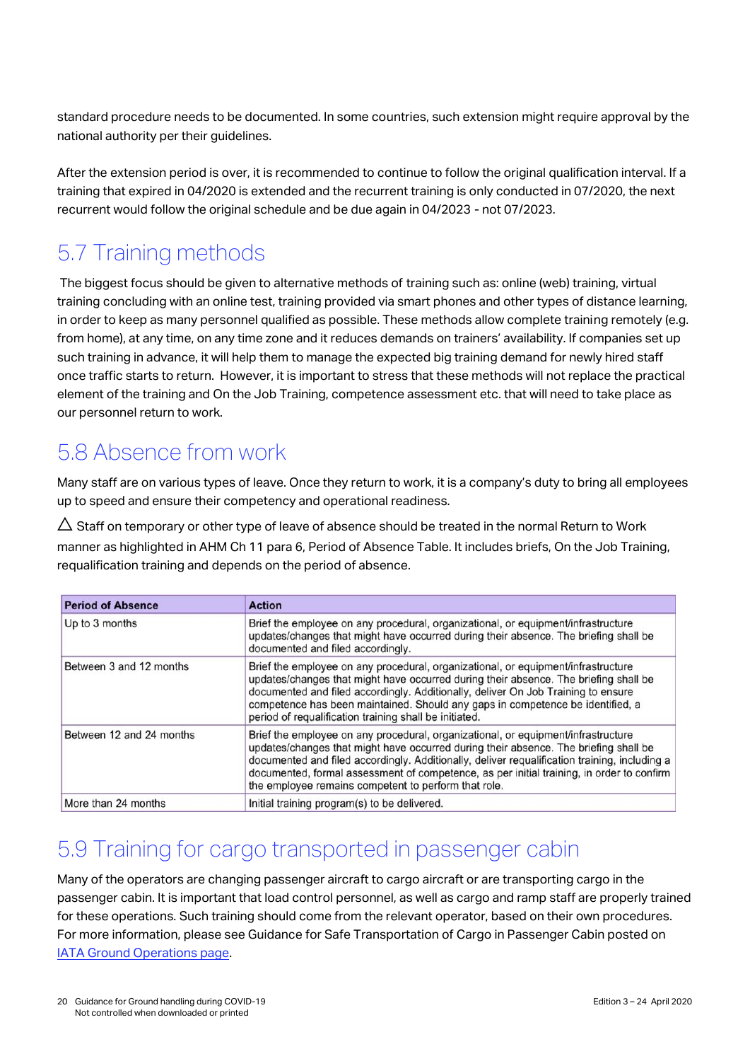standard procedure needs to be documented. In some countries, such extension might require approval by the national authority per their guidelines.

After the extension period is over, it is recommended to continue to follow the original qualification interval. If a training that expired in 04/2020 is extended and the recurrent training is only conducted in 07/2020, the next recurrent would follow the original schedule and be due again in 04/2023 - not 07/2023.

# 5.7 Training methods

The biggest focus should be given to alternative methods of training such as: online (web) training, virtual training concluding with an online test, training provided via smart phones and other types of distance learning, in order to keep as many personnel qualified as possible. These methods allow complete training remotely (e.g. from home), at any time, on any time zone and it reduces demands on trainers' availability. If companies set up such training in advance, it will help them to manage the expected big training demand for newly hired staff once traffic starts to return. However, it is important to stress that these methods will not replace the practical element of the training and On the Job Training, competence assessment etc. that will need to take place as our personnel return to work.

# 5.8 Absence from work

Many staff are on various types of leave. Once they return to work, it is a company's duty to bring all employees up to speed and ensure their competency and operational readiness.

 $\Delta$  Staff on temporary or other type of leave of absence should be treated in the normal Return to Work manner as highlighted in AHM Ch 11 para 6, Period of Absence Table. It includes briefs, On the Job Training, requalification training and depends on the period of absence.

| <b>Period of Absence</b> | <b>Action</b>                                                                                                                                                                                                                                                                                                                                                                                                                   |
|--------------------------|---------------------------------------------------------------------------------------------------------------------------------------------------------------------------------------------------------------------------------------------------------------------------------------------------------------------------------------------------------------------------------------------------------------------------------|
| Up to 3 months           | Brief the employee on any procedural, organizational, or equipment/infrastructure<br>updates/changes that might have occurred during their absence. The briefing shall be<br>documented and filed accordingly.                                                                                                                                                                                                                  |
| Between 3 and 12 months  | Brief the employee on any procedural, organizational, or equipment/infrastructure<br>updates/changes that might have occurred during their absence. The briefing shall be<br>documented and filed accordingly. Additionally, deliver On Job Training to ensure<br>competence has been maintained. Should any gaps in competence be identified, a<br>period of requalification training shall be initiated.                      |
| Between 12 and 24 months | Brief the employee on any procedural, organizational, or equipment/infrastructure<br>updates/changes that might have occurred during their absence. The briefing shall be<br>documented and filed accordingly. Additionally, deliver requalification training, including a<br>documented, formal assessment of competence, as per initial training, in order to confirm<br>the employee remains competent to perform that role. |
| More than 24 months      | Initial training program(s) to be delivered.                                                                                                                                                                                                                                                                                                                                                                                    |

### 5.9 Training for cargo transported in passenger cabin

<span id="page-19-0"></span>Many of the operators are changing passenger aircraft to cargo aircraft or are transporting cargo in the passenger cabin. It is important that load control personnel, as well as cargo and ramp staff are properly trained for these operations. Such training should come from the relevant operator, based on their own procedures. For more information, please see Guidance for Safe Transportation of Cargo in Passenger Cabin posted on [IATA Ground Operations page.](https://www.iata.org/en/programs/ops-infra/ground-operations/)